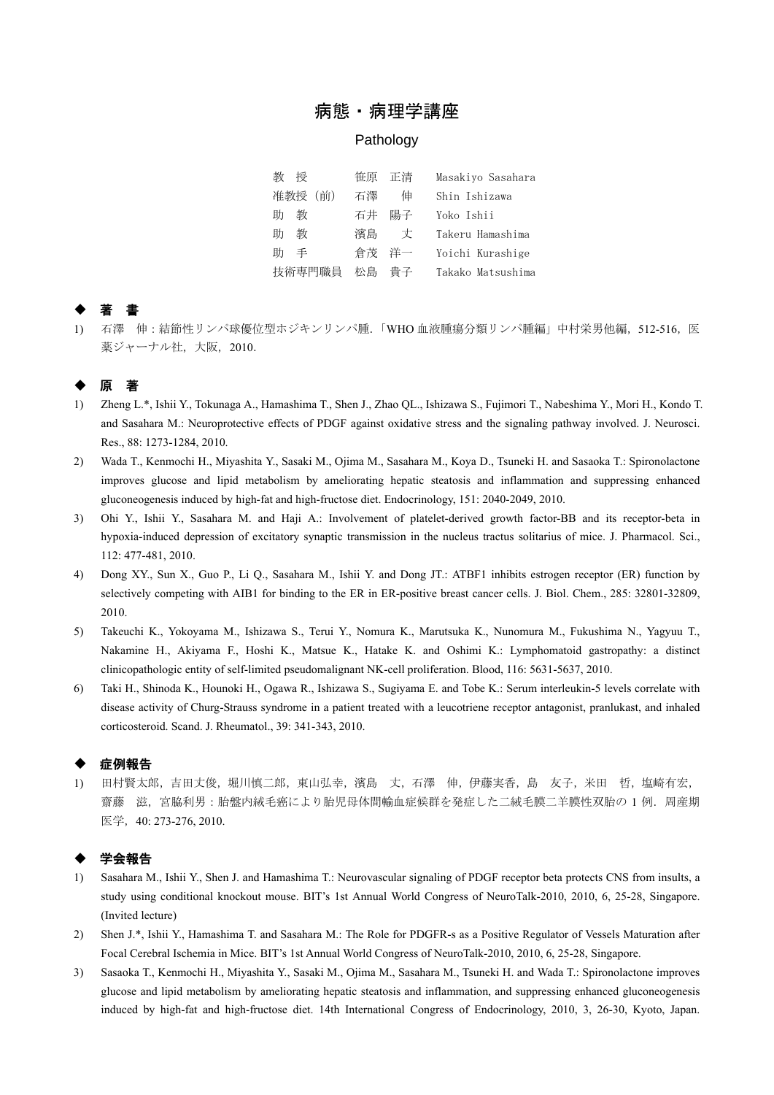## 病態・病理学講座

### **Pathology**

| 剶<br>桴  | 笹原 正清 |    | Masakiyo Sasahara |
|---------|-------|----|-------------------|
| 准教授 (前) | 石澤    | 伸  | Shin Ishizawa     |
| 教<br>肋  | 石井    | 陽子 | Yoko Ishii        |
| 教<br>肋  | 濱島    | 丈  | Takeru Hamashima  |
| 手<br>肋  | 倉茂    | 洋一 | Yoichi Kurashige  |
| 技術専門職員  | 松島    | 貴子 | Takako Matsushima |

# ◆ 著 書

1) 石澤 伸:結節性リンパ球優位型ホジキンリンパ腫.「WHO 血液腫瘍分類リンパ腫編」中村栄男他編,512-516,医 薬ジャーナル社,大阪, 2010.

## 原

- 1) Zheng L.\*, Ishii Y., Tokunaga A., Hamashima T., Shen J., Zhao QL., Ishizawa S., Fujimori T., Nabeshima Y., Mori H., Kondo T. and Sasahara M.: Neuroprotective effects of PDGF against oxidative stress and the signaling pathway involved. J. Neurosci. Res., 88: 1273-1284, 2010.
- 2) Wada T., Kenmochi H., Miyashita Y., Sasaki M., Ojima M., Sasahara M., Koya D., Tsuneki H. and Sasaoka T.: Spironolactone improves glucose and lipid metabolism by ameliorating hepatic steatosis and inflammation and suppressing enhanced gluconeogenesis induced by high-fat and high-fructose diet. Endocrinology, 151: 2040-2049, 2010.
- 3) Ohi Y., Ishii Y., Sasahara M. and Haji A.: Involvement of platelet-derived growth factor-BB and its receptor-beta in hypoxia-induced depression of excitatory synaptic transmission in the nucleus tractus solitarius of mice. J. Pharmacol. Sci., 112: 477-481, 2010.
- 4) Dong XY., Sun X., Guo P., Li Q., Sasahara M., Ishii Y. and Dong JT.: ATBF1 inhibits estrogen receptor (ER) function by selectively competing with AIB1 for binding to the ER in ER-positive breast cancer cells. J. Biol. Chem., 285: 32801-32809, 2010.
- 5) Takeuchi K., Yokoyama M., Ishizawa S., Terui Y., Nomura K., Marutsuka K., Nunomura M., Fukushima N., Yagyuu T., Nakamine H., Akiyama F., Hoshi K., Matsue K., Hatake K. and Oshimi K.: Lymphomatoid gastropathy: a distinct clinicopathologic entity of self-limited pseudomalignant NK-cell proliferation. Blood, 116: 5631-5637, 2010.
- 6) Taki H., Shinoda K., Hounoki H., Ogawa R., Ishizawa S., Sugiyama E. and Tobe K.: Serum interleukin-5 levels correlate with disease activity of Churg-Strauss syndrome in a patient treated with a leucotriene receptor antagonist, pranlukast, and inhaled corticosteroid. Scand. J. Rheumatol., 39: 341-343, 2010.

## 症例報告

1) 田村賢太郎,吉田丈俊,堀川慎二郎,東山弘幸,濱島 丈,石澤 伸,伊藤実香,島 友子,米田 哲,塩崎有宏, 齋藤 滋,宮脇利男:胎盤内絨毛癌により胎児母体間輸血症候群を発症した二絨毛膜二羊膜性双胎の 1 例. 周産期 医学,40: 273-276, 2010.

### ◆ 学会報告

- 1) Sasahara M., Ishii Y., Shen J. and Hamashima T.: Neurovascular signaling of PDGF receptor beta protects CNS from insults, a study using conditional knockout mouse. BIT's 1st Annual World Congress of NeuroTalk-2010, 2010, 6, 25-28, Singapore. (Invited lecture)
- 2) Shen J.\*, Ishii Y., Hamashima T. and Sasahara M.: The Role for PDGFR-s as a Positive Regulator of Vessels Maturation after Focal Cerebral Ischemia in Mice. BIT's 1st Annual World Congress of NeuroTalk-2010, 2010, 6, 25-28, Singapore.
- 3) Sasaoka T., Kenmochi H., Miyashita Y., Sasaki M., Ojima M., Sasahara M., Tsuneki H. and Wada T.: Spironolactone improves glucose and lipid metabolism by ameliorating hepatic steatosis and inflammation, and suppressing enhanced gluconeogenesis induced by high-fat and high-fructose diet. 14th International Congress of Endocrinology, 2010, 3, 26-30, Kyoto, Japan.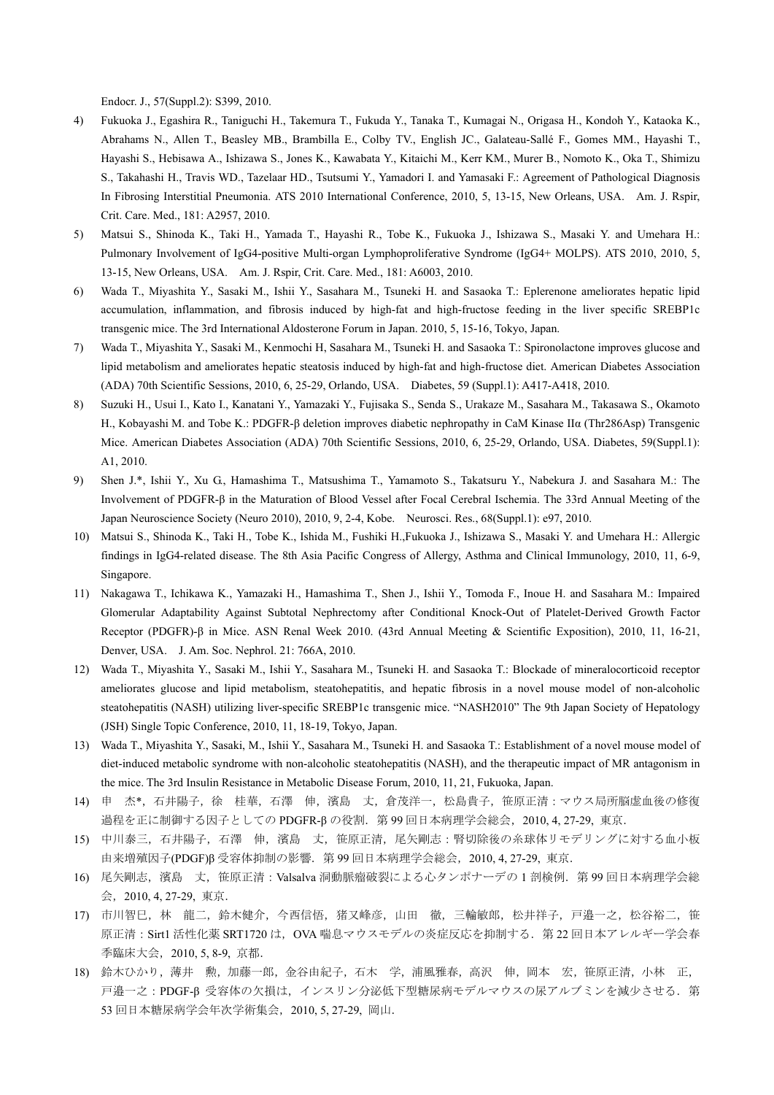Endocr. J., 57(Suppl.2): S399, 2010.

- 4) Fukuoka J., Egashira R., Taniguchi H., Takemura T., Fukuda Y., Tanaka T., Kumagai N., Origasa H., Kondoh Y., Kataoka K., Abrahams N., Allen T., Beasley MB., Brambilla E., Colby TV., English JC., Galateau-Sallé F., Gomes MM., Hayashi T., Hayashi S., Hebisawa A., Ishizawa S., Jones K., Kawabata Y., Kitaichi M., Kerr KM., Murer B., Nomoto K., Oka T., Shimizu S., Takahashi H., Travis WD., Tazelaar HD., Tsutsumi Y., Yamadori I. and Yamasaki F.: Agreement of Pathological Diagnosis In Fibrosing Interstitial Pneumonia. ATS 2010 International Conference, 2010, 5, 13-15, New Orleans, USA. Am. J. Rspir, Crit. Care. Med., 181: A2957, 2010.
- 5) Matsui S., Shinoda K., Taki H., Yamada T., Hayashi R., Tobe K., Fukuoka J., Ishizawa S., Masaki Y. and Umehara H.: Pulmonary Involvement of IgG4-positive Multi-organ Lymphoproliferative Syndrome (IgG4+ MOLPS). ATS 2010, 2010, 5, 13-15, New Orleans, USA. Am. J. Rspir, Crit. Care. Med., 181: A6003, 2010.
- 6) Wada T., Miyashita Y., Sasaki M., Ishii Y., Sasahara M., Tsuneki H. and Sasaoka T.: Eplerenone ameliorates hepatic lipid accumulation, inflammation, and fibrosis induced by high-fat and high-fructose feeding in the liver specific SREBP1c transgenic mice. The 3rd International Aldosterone Forum in Japan. 2010, 5, 15-16, Tokyo, Japan.
- 7) Wada T., Miyashita Y., Sasaki M., Kenmochi H, Sasahara M., Tsuneki H. and Sasaoka T.: Spironolactone improves glucose and lipid metabolism and ameliorates hepatic steatosis induced by high-fat and high-fructose diet. American Diabetes Association (ADA) 70th Scientific Sessions, 2010, 6, 25-29, Orlando, USA. Diabetes, 59 (Suppl.1): A417-A418, 2010.
- 8) Suzuki H., Usui I., Kato I., Kanatani Y., Yamazaki Y., Fujisaka S., Senda S., Urakaze M., Sasahara M., Takasawa S., Okamoto H., Kobayashi M. and Tobe K.: PDGFR-β deletion improves diabetic nephropathy in CaM Kinase IIα (Thr286Asp) Transgenic Mice. American Diabetes Association (ADA) 70th Scientific Sessions, 2010, 6, 25-29, Orlando, USA. Diabetes, 59(Suppl.1): A1, 2010.
- 9) Shen J.\*, Ishii Y., Xu G., Hamashima T., Matsushima T., Yamamoto S., Takatsuru Y., Nabekura J. and Sasahara M.: The Involvement of PDGFR-β in the Maturation of Blood Vessel after Focal Cerebral Ischemia. The 33rd Annual Meeting of the Japan Neuroscience Society (Neuro 2010), 2010, 9, 2-4, Kobe. Neurosci. Res., 68(Suppl.1): e97, 2010.
- 10) Matsui S., Shinoda K., Taki H., Tobe K., Ishida M., Fushiki H.,Fukuoka J., Ishizawa S., Masaki Y. and Umehara H.: Allergic findings in IgG4-related disease. The 8th Asia Pacific Congress of Allergy, Asthma and Clinical Immunology, 2010, 11, 6-9, Singapore.
- 11) Nakagawa T., Ichikawa K., Yamazaki H., Hamashima T., Shen J., Ishii Y., Tomoda F., Inoue H. and Sasahara M.: Impaired Glomerular Adaptability Against Subtotal Nephrectomy after Conditional Knock-Out of Platelet-Derived Growth Factor Receptor (PDGFR)-β in Mice. ASN Renal Week 2010. (43rd Annual Meeting & Scientific Exposition), 2010, 11, 16-21, Denver, USA. J. Am. Soc. Nephrol. 21: 766A, 2010.
- 12) Wada T., Miyashita Y., Sasaki M., Ishii Y., Sasahara M., Tsuneki H. and Sasaoka T.: Blockade of mineralocorticoid receptor ameliorates glucose and lipid metabolism, steatohepatitis, and hepatic fibrosis in a novel mouse model of non-alcoholic steatohepatitis (NASH) utilizing liver-specific SREBP1c transgenic mice. "NASH2010" The 9th Japan Society of Hepatology (JSH) Single Topic Conference, 2010, 11, 18-19, Tokyo, Japan.
- 13) Wada T., Miyashita Y., Sasaki, M., Ishii Y., Sasahara M., Tsuneki H. and Sasaoka T.: Establishment of a novel mouse model of diet-induced metabolic syndrome with non-alcoholic steatohepatitis (NASH), and the therapeutic impact of MR antagonism in the mice. The 3rd Insulin Resistance in Metabolic Disease Forum, 2010, 11, 21, Fukuoka, Japan.
- 14) 申 杰\*,石井陽子,徐 桂華,石澤 伸,濱島 丈,倉茂洋一,松島貴子,笹原正清:マウス局所脳虚血後の修復 過程を正に制御する因子としての PDGFR-β の役割.第 99 回日本病理学会総会,2010, 4, 27-29, 東京.
- 15) 中川泰三,石井陽子,石澤 伸,濱島 丈,笹原正清,尾矢剛志:腎切除後の糸球体リモデリングに対する血小板 由来増殖因子(PDGF)β 受容体抑制の影響.第 99 回日本病理学会総会,2010, 4, 27-29, 東京.
- 16) 尾矢剛志,濱島 丈,笹原正清: Valsalva 洞動脈瘤破裂による心タンポナーデの1剖検例. 第 99 回日本病理学会総 会,2010, 4, 27-29, 東京.
- 17) 市川智巳,林 龍二,鈴木健介,今西信悟,猪又峰彦,山田 徹,三輪敏郎,松井祥子,戸邉一之,松谷裕二,笹 原正清: Sirt1 活性化薬 SRT1720 は、OVA 喘息マウスモデルの炎症反応を抑制する. 第 22 回日本アレルギー学会春 季臨床大会,2010, 5, 8-9, 京都.
- 18) 鈴木ひかり,薄井 勲,加藤一郎,金谷由紀子,石木 学,浦風雅春,高沢 伸,岡本 宏,笹原正清,小林 正, 戸邉一之:PDGF-β 受容体の欠損は,インスリン分泌低下型糖尿病モデルマウスの尿アルブミンを減少させる.第 53 回日本糖尿病学会年次学術集会,2010, 5, 27-29, 岡山.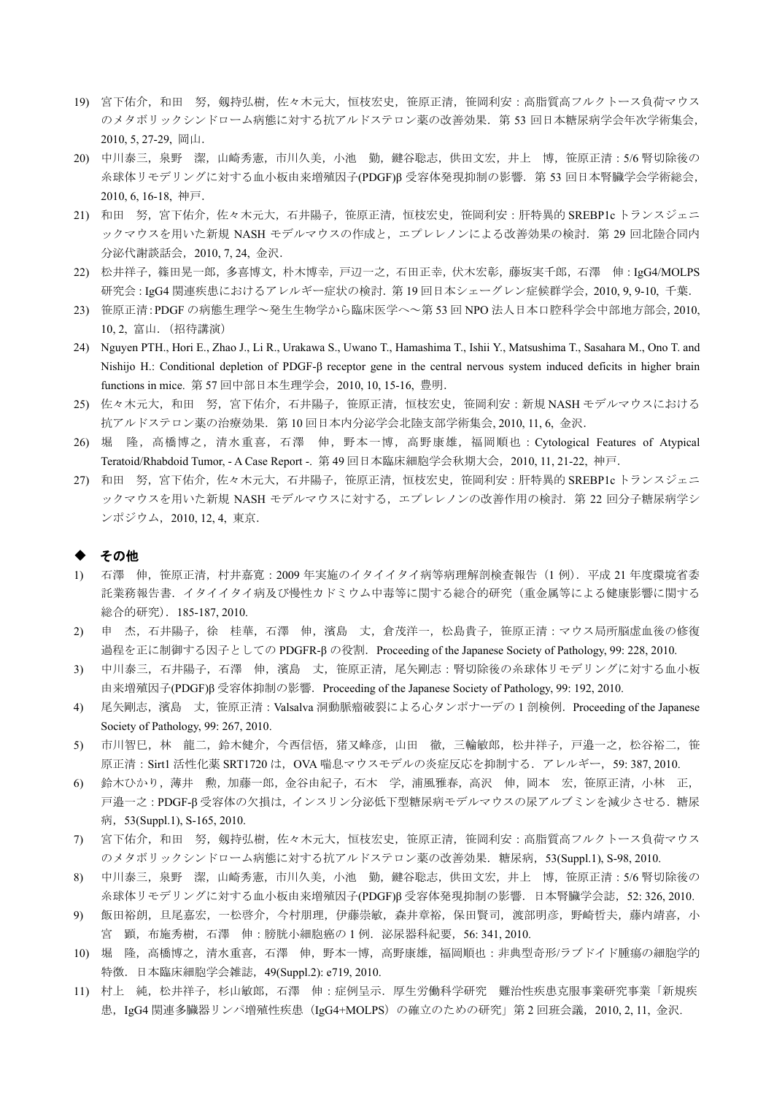- 19) 宮下佑介,和田 努,剱持弘樹,佐々木元大,恒枝宏史,笹原正清,笹岡利安:高脂質高フルクトース負荷マウス のメタボリックシンドローム病態に対する抗アルドステロン薬の改善効果. 第53回日本糖尿病学会年次学術集会, 2010, 5, 27-29, 岡山.
- 20) 中川泰三,泉野 潔,山崎秀憲,市川久美,小池 勤,鍵谷聡志,供田文宏,井上 博,笹原正清:5/6 腎切除後の 糸球体リモデリングに対する血小板由来増殖因子(PDGF)β 受容体発現抑制の影響. 第 53 回日本腎臓学会学術総会, 2010, 6, 16-18, 神戸.
- 21) 和田 努,宮下佑介,佐々木元大,石井陽子,笹原正清,恒枝宏史,笹岡利安:肝特異的 SREBP1c トランスジェニ ックマウスを用いた新規 NASH モデルマウスの作成と、エプレレノンによる改善効果の検討. 第 29 回北陸合同内 分泌代謝談話会,2010, 7, 24, 金沢.
- 22) 松井祥子,篠田晃一郎,多喜博文,朴木博幸,戸辺一之,石田正幸,伏木宏彰,藤坂実千郎,石澤 伸:IgG4/MOLPS 研究会:IgG4 関連疾患におけるアレルギー症状の検討.第 19 回日本シェーグレン症候群学会,2010, 9, 9-10, 千葉.
- 23) 笹原正清:PDGF の病態生理学~発生生物学から臨床医学へ~第 53 回 NPO 法人日本口腔科学会中部地方部会,2010, 10, 2, 富山.(招待講演)
- 24) Nguyen PTH., Hori E., Zhao J., Li R., Urakawa S., Uwano T., Hamashima T., Ishii Y., Matsushima T., Sasahara M., Ono T. and Nishijo H.: Conditional depletion of PDGF-β receptor gene in the central nervous system induced deficits in higher brain functions in mice. 第 57 回中部日本生理学会,2010, 10, 15-16, 豊明.
- 25) 佐々木元大,和田 努,宮下佑介,石井陽子,笹原正清,恒枝宏史,笹岡利安:新規 NASH モデルマウスにおける 抗アルドステロン薬の治療効果.第 10 回日本内分泌学会北陸支部学術集会, 2010, 11, 6, 金沢.
- 26) 堀 隆,高橋博之,清水重喜,石澤 伸,野本一博,高野康雄,福岡順也:Cytological Features of Atypical Teratoid/Rhabdoid Tumor, - A Case Report -. 第 49 回日本臨床細胞学会秋期大会,2010, 11, 21-22, 神戸.
- 27) 和田 努,宮下佑介,佐々木元大,石井陽子,笹原正清,恒枝宏史,笹岡利安:肝特異的 SREBP1c トランスジェニ ックマウスを用いた新規 NASH モデルマウスに対する,エプレレノンの改善作用の検討. 第22回分子糖尿病学シ ンポジウム,2010, 12, 4, 東京.

#### ◆ その他

- 1) 石澤 伸,笹原正清,村井嘉寛:2009 年実施のイタイイタイ病等病理解剖検査報告(1 例).平成 21 年度環境省委 託業務報告書.イタイイタイ病及び慢性カドミウム中毒等に関する総合的研究(重金属等による健康影響に関する 総合的研究).185-187, 2010.
- 2) 申 杰, 石井陽子, 徐 桂華, 石澤 伸, 濱島 丈, 倉茂洋一, 松島貴子, 笹原正清:マウス局所脳虚血後の修復 過程を正に制御する因子としての PDGFR-β の役割. Proceeding of the Japanese Society of Pathology, 99: 228, 2010.
- 3) 中川泰三,石井陽子,石澤 伸,濱島 丈,笹原正清,尾矢剛志:腎切除後の糸球体リモデリングに対する血小板 由来増殖因子(PDGF)β 受容体抑制の影響. Proceeding of the Japanese Society of Pathology, 99: 192, 2010.
- 4) 尾矢剛志,濱島 丈,笹原正清: Valsalva 洞動脈瘤破裂による心タンポナーデの1剖検例. Proceeding of the Japanese Society of Pathology, 99: 267, 2010.
- 5) 市川智巳,林 龍二,鈴木健介,今西信悟,猪又峰彦,山田 徹,三輪敏郎,松井祥子,戸邉一之,松谷裕二,笹 原正清: Sirt1 活性化薬 SRT1720 は,OVA 喘息マウスモデルの炎症反応を抑制する. アレルギー, 59: 387, 2010.
- 6) 鈴木ひかり,薄井 勲,加藤一郎,金谷由紀子,石木 学,浦風雅春,高沢 伸,岡本 宏,笹原正清,小林 正, 戸邉一之:PDGF-β 受容体の欠損は,インスリン分泌低下型糖尿病モデルマウスの尿アルブミンを減少させる.糖尿 病,53(Suppl.1), S-165, 2010.
- 7) 宮下佑介,和田 努,剱持弘樹,佐々木元大,恒枝宏史,笹原正清,笹岡利安:高脂質高フルクトース負荷マウス のメタボリックシンドローム病態に対する抗アルドステロン薬の改善効果. 糖尿病, 53(Suppl.1), S-98, 2010.
- 8) 中川泰三,泉野 潔,山崎秀憲,市川久美,小池 勤,鍵谷聡志,供田文宏,井上 博,笹原正清:5/6 腎切除後の 糸球体リモデリングに対する血小板由来増殖因子(PDGF)β 受容体発現抑制の影響.日本腎臓学会誌,52: 326, 2010.
- 9) 飯田裕朗,旦尾嘉宏,一松啓介,今村朋理,伊藤崇敏,森井章裕,保田賢司,渡部明彦,野崎哲夫,藤内靖喜,小 宮 顕,布施秀樹,石澤 伸:膀胱小細胞癌の 1 例.泌尿器科紀要,56: 341, 2010.
- 10) 堀 隆,高橋博之,清水重喜,石澤 伸,野本一博,高野康雄,福岡順也:非典型奇形/ラブドイド腫瘍の細胞学的 特徴.日本臨床細胞学会雑誌,49(Suppl.2): e719, 2010.
- 11) 村上 純,松井祥子,杉山敏郎,石澤 伸:症例呈示.厚生労働科学研究 難治性疾患克服事業研究事業「新規疾 患, IgG4 関連多臓器リンパ増殖性疾患 (IgG4+MOLPS) の確立のための研究」第2回班会議, 2010, 2, 11, 金沢.